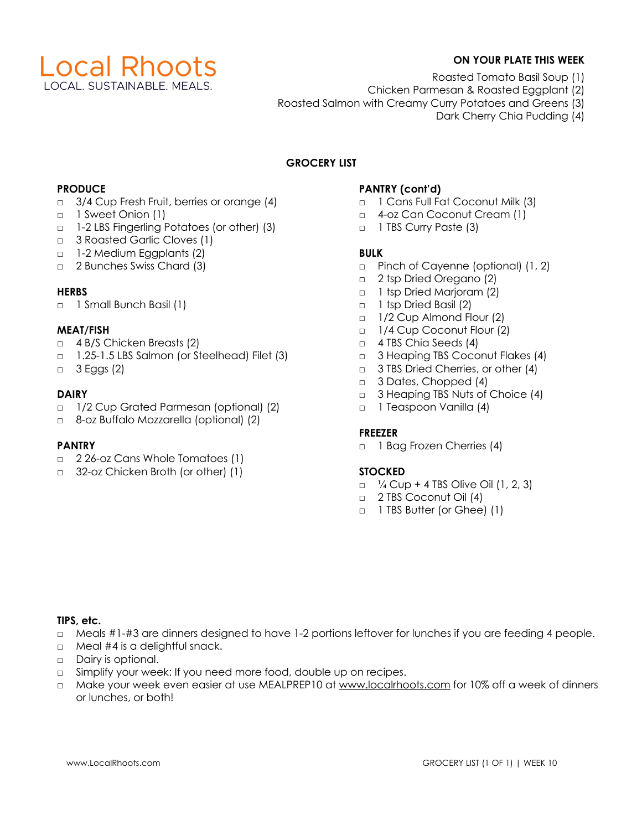

# **ON YOUR PLATE THIS WEEK**

- Roasted Tomato Basil Soup (1)
- Chicken Parmesan & Roasted Eggplant (2)
- Roasted Salmon with Creamy Curry Potatoes and Greens (3)
	- Dark Cherry Chia Pudding (4)

# **GROCERY LIST**

#### **PRODUCE**

- □ 3/4 Cup Fresh Fruit, berries or orange (4)
- □ 1 Sweet Onion (1)
- □ 1-2 LBS Fingerling Potatoes (or other) (3)
- □ 3 Roasted Garlic Cloves (1)
- □ 1-2 Medium Eggplants (2)
- □ 2 Bunches Swiss Chard (3)

## **HERBS**

□ 1 Small Bunch Basil (1)

## **MEAT/FISH**

- □ 4 B/S Chicken Breasts (2)
- □ 1.25-1.5 LBS Salmon (or Steelhead) Filet (3)
- □ 3 Eggs (2)

## **DAIRY**

- □ 1/2 Cup Grated Parmesan (optional) (2)
- □ 8-oz Buffalo Mozzarella (optional) (2)

# **PANTRY**

- □ 2 26-oz Cans Whole Tomatoes (1)
- □ 32-oz Chicken Broth (or other) (1)

# **PANTRY (cont'd)**

- □ 1 Cans Full Fat Coconut Milk (3)
- □ 4-oz Can Coconut Cream (1)
- □ 1 TBS Curry Paste (3)

# **BULK**

- □ Pinch of Cayenne (optional) (1, 2)
- □ 2 tsp Dried Oregano (2)
- □ 1 tsp Dried Marjoram (2)
- □ 1 tsp Dried Basil (2)
- □ 1/2 Cup Almond Flour (2)
- □ 1/4 Cup Coconut Flour (2)
- □ 4 TBS Chia Seeds (4)
- □ 3 Heaping TBS Coconut Flakes (4)
- □ 3 TBS Dried Cherries, or other (4)
- □ 3 Dates, Chopped (4)
- □ 3 Heaping TBS Nuts of Choice (4)
- □ 1 Teaspoon Vanilla (4)

#### **FREEZER**

□ 1 Bag Frozen Cherries (4)

#### **STOCKED**

- $\Box$  /4 Cup + 4 TBS Olive Oil (1, 2, 3)
- □ 2 TBS Coconut Oil (4)
- □ 1 TBS Butter (or Ghee) (1)

#### **TIPS, etc.**

- □ Meals #1-#3 are dinners designed to have 1-2 portions leftover for lunches if you are feeding 4 people.
- □ Meal #4 is a delightful snack.
- □ Dairy is optional.
- □ Simplify your week: If you need more food, double up on recipes.
- □ Make your week even easier at use MEALPREP10 at www.localrhoots.com for 10% off a week of dinners or lunches, or both!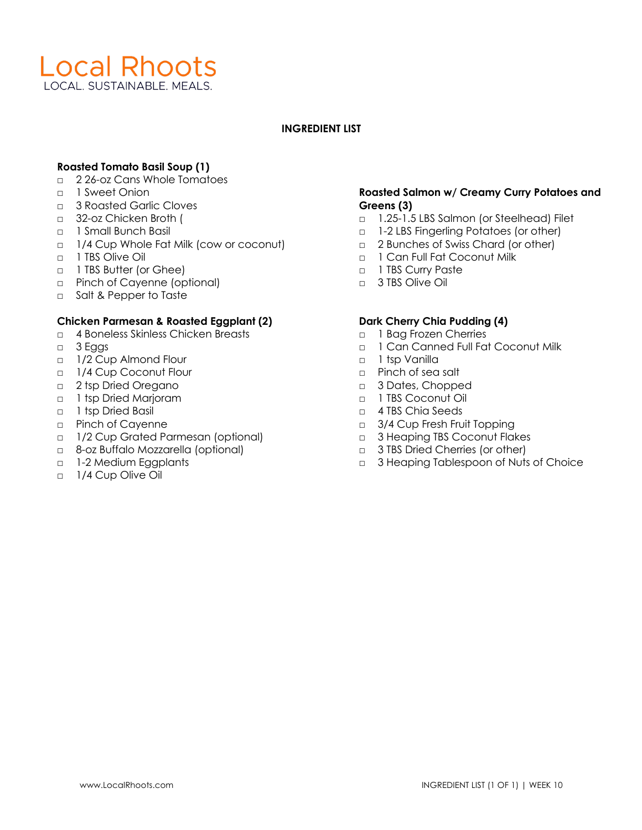

#### **INGREDIENT LIST**

# **Roasted Tomato Basil Soup (1)**

- □ 2 26-oz Cans Whole Tomatoes
- □ 1 Sweet Onion
- □ 3 Roasted Garlic Cloves
- □ 32-oz Chicken Broth (
- □ 1 Small Bunch Basil
- □ 1/4 Cup Whole Fat Milk (cow or coconut)
- □ 1 TBS Olive Oil
- □ 1 TBS Butter (or Ghee)
- □ Pinch of Cayenne (optional)
- □ Salt & Pepper to Taste

#### **Chicken Parmesan & Roasted Eggplant (2)**

- □ 4 Boneless Skinless Chicken Breasts
- □ 3 Eggs
- □ 1/2 Cup Almond Flour
- □ 1/4 Cup Coconut Flour
- □ 2 tsp Dried Oregano
- □ 1 tsp Dried Marjoram
- □ 1 tsp Dried Basil
- □ Pinch of Cayenne
- □ 1/2 Cup Grated Parmesan (optional)
- □ 8-oz Buffalo Mozzarella (optional)
- □ 1-2 Medium Eggplants
- □ 1/4 Cup Olive Oil

## **Roasted Salmon w/ Creamy Curry Potatoes and Greens (3)**

- □ 1.25-1.5 LBS Salmon (or Steelhead) Filet
- □ 1-2 LBS Fingerling Potatoes (or other)
- □ 2 Bunches of Swiss Chard (or other)
- □ 1 Can Full Fat Coconut Milk
- □ 1 TBS Curry Paste
- □ 3 TBS Olive Oil

## **Dark Cherry Chia Pudding (4)**

- □ 1 Bag Frozen Cherries
- □ 1 Can Canned Full Fat Coconut Milk
- □ 1 tsp Vanilla
- □ Pinch of sea salt
- □ 3 Dates, Chopped
- □ 1 TBS Coconut Oil
- □ 4 TBS Chia Seeds
- □ 3/4 Cup Fresh Fruit Topping
- □ 3 Heaping TBS Coconut Flakes
- □ 3 TBS Dried Cherries (or other)
- □ 3 Heaping Tablespoon of Nuts of Choice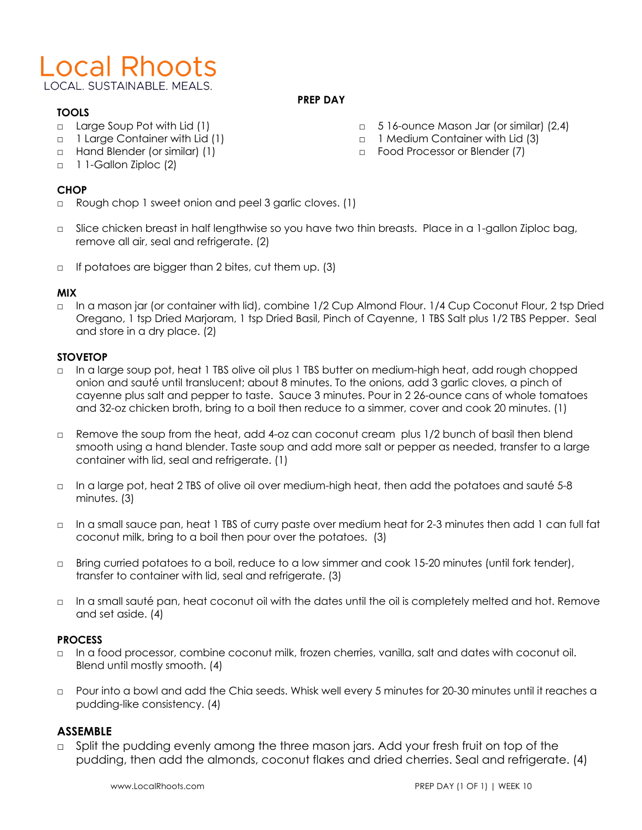# **Local Rhoots** LOCAL, SUSTAINABLE, MEALS.

#### **PREP DAY**

# **TOOLS**

- □ Large Soup Pot with Lid (1)
- □ 1 Large Container with Lid (1)
- □ Hand Blender (or similar) (1)
- □ 1 1-Gallon Ziploc (2)

# **CHOP**

- □ Rough chop 1 sweet onion and peel 3 garlic cloves. (1)
- □ Slice chicken breast in half lengthwise so you have two thin breasts. Place in a 1-gallon Ziploc bag, remove all air, seal and refrigerate. (2)
- $\Box$  If potatoes are bigger than 2 bites, cut them up. (3)

# **MIX**

□ In a mason jar (or container with lid), combine 1/2 Cup Almond Flour. 1/4 Cup Coconut Flour, 2 tsp Dried Oregano, 1 tsp Dried Marjoram, 1 tsp Dried Basil, Pinch of Cayenne, 1 TBS Salt plus 1/2 TBS Pepper. Seal and store in a dry place. (2)

# **STOVETOP**

- □ In a large soup pot, heat 1 TBS olive oil plus 1 TBS butter on medium-high heat, add rough chopped onion and sauté until translucent; about 8 minutes. To the onions, add 3 garlic cloves, a pinch of cayenne plus salt and pepper to taste. Sauce 3 minutes. Pour in 2 26-ounce cans of whole tomatoes and 32-oz chicken broth, bring to a boil then reduce to a simmer, cover and cook 20 minutes. (1)
- □ Remove the soup from the heat, add 4-oz can coconut cream plus 1/2 bunch of basil then blend smooth using a hand blender. Taste soup and add more salt or pepper as needed, transfer to a large container with lid, seal and refrigerate. (1)
- □ In a large pot, heat 2 TBS of olive oil over medium-high heat, then add the potatoes and sauté 5-8 minutes. (3)
- □ In a small sauce pan, heat 1 TBS of curry paste over medium heat for 2-3 minutes then add 1 can full fat coconut milk, bring to a boil then pour over the potatoes. (3)
- □ Bring curried potatoes to a boil, reduce to a low simmer and cook 15-20 minutes (until fork tender), transfer to container with lid, seal and refrigerate. (3)
- □ In a small sauté pan, heat coconut oil with the dates until the oil is completely melted and hot. Remove and set aside. (4)

# **PROCESS**

- □ In a food processor, combine coconut milk, frozen cherries, vanilla, salt and dates with coconut oil. Blend until mostly smooth. (4)
- □ Pour into a bowl and add the Chia seeds. Whisk well every 5 minutes for 20-30 minutes until it reaches a pudding-like consistency. (4)

# **ASSEMBLE**

□ Split the pudding evenly among the three mason jars. Add your fresh fruit on top of the pudding, then add the almonds, coconut flakes and dried cherries. Seal and refrigerate. (4)

www.LocalRhoots.com **PREP DAY (1 OF 1) | WEEK 10** 

- □ 5 16-ounce Mason Jar (or similar) (2,4)
- □ 1 Medium Container with Lid (3)
- □ Food Processor or Blender (7)